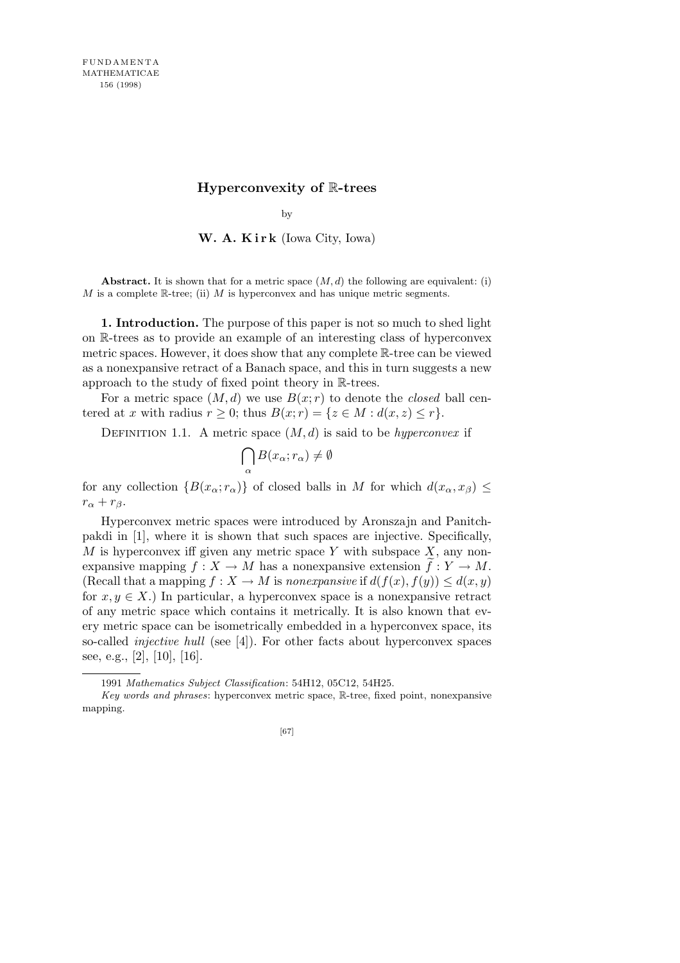## **Hyperconvexity of** R**-trees**

by

**W. A. K i r k** (Iowa City, Iowa)

**Abstract.** It is shown that for a metric space  $(M, d)$  the following are equivalent: (i) *M* is a complete R-tree; (ii) *M* is hyperconvex and has unique metric segments.

**1. Introduction.** The purpose of this paper is not so much to shed light on R-trees as to provide an example of an interesting class of hyperconvex metric spaces. However, it does show that any complete R-tree can be viewed as a nonexpansive retract of a Banach space, and this in turn suggests a new approach to the study of fixed point theory in R-trees.

For a metric space  $(M, d)$  we use  $B(x; r)$  to denote the *closed* ball centered at *x* with radius  $r \geq 0$ ; thus  $B(x; r) = \{z \in M : d(x, z) \leq r\}.$ 

DEFINITION 1.1. A metric space  $(M, d)$  is said to be *hyperconvex* if

$$
\bigcap_{\alpha} B(x_{\alpha}; r_{\alpha}) \neq \emptyset
$$

for any collection  ${B(x_\alpha; r_\alpha)}$  of closed balls in *M* for which  $d(x_\alpha, x_\beta) \le$  $r_{\alpha} + r_{\beta}$ .

Hyperconvex metric spaces were introduced by Aronszajn and Panitchpakdi in [1], where it is shown that such spaces are injective. Specifically, *M* is hyperconvex iff given any metric space *Y* with subspace *X*, any nonexpansive mapping  $f: X \to M$  has a nonexpansive extension  $\tilde{f}: Y \to M$ . (Recall that a mapping  $f: X \to M$  is *nonexpansive* if  $d(f(x), f(y)) \leq d(x, y)$ for  $x, y \in X$ .) In particular, a hyperconvex space is a nonexpansive retract of any metric space which contains it metrically. It is also known that every metric space can be isometrically embedded in a hyperconvex space, its so-called *injective hull* (see [4]). For other facts about hyperconvex spaces see, e.g., [2], [10], [16].

<sup>1991</sup> *Mathematics Subject Classification*: 54H12, 05C12, 54H25.

*Key words and phrases*: hyperconvex metric space, R-tree, fixed point, nonexpansive mapping.

<sup>[67]</sup>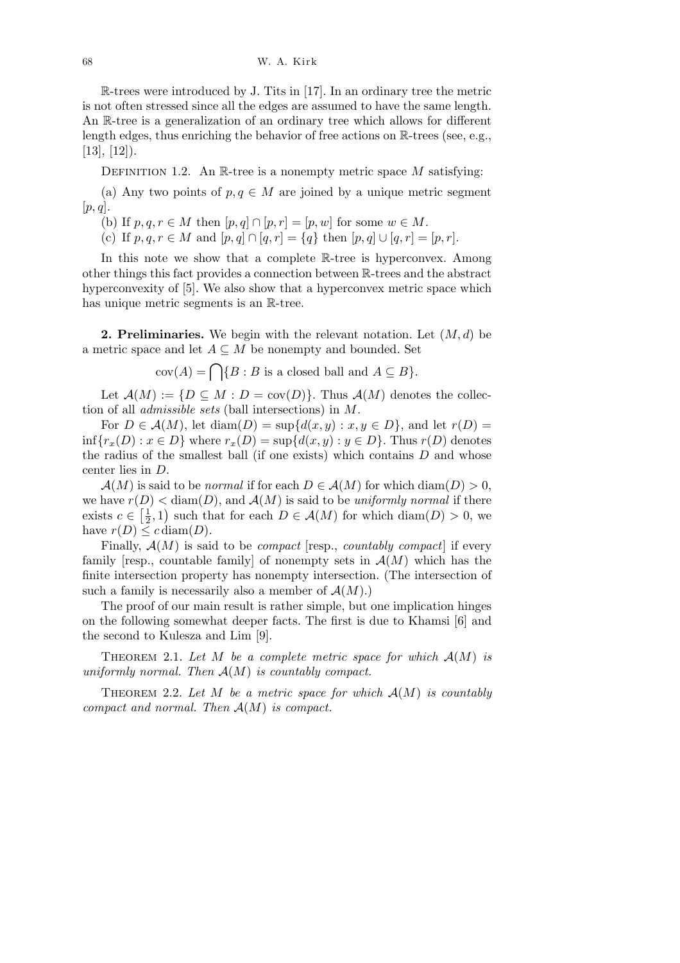R-trees were introduced by J. Tits in [17]. In an ordinary tree the metric is not often stressed since all the edges are assumed to have the same length. An R-tree is a generalization of an ordinary tree which allows for different length edges, thus enriching the behavior of free actions on  $\mathbb{R}$ -trees (see, e.g.,  $[13]$ ,  $[12]$ ).

DEFINITION 1.2. An R-tree is a nonempty metric space M satisfying:

(a) Any two points of  $p, q \in M$  are joined by a unique metric segment [*p, q*].

(b) If  $p, q, r \in M$  then  $[p, q] \cap [p, r] = [p, w]$  for some  $w \in M$ .

(c) If  $p, q, r \in M$  and  $[p, q] \cap [q, r] = \{q\}$  then  $[p, q] \cup [q, r] = [p, r]$ .

In this note we show that a complete R-tree is hyperconvex. Among other things this fact provides a connection between R-trees and the abstract hyperconvexity of [5]. We also show that a hyperconvex metric space which has unique metric segments is an R-tree.

**2. Preliminaries.** We begin with the relevant notation. Let (*M, d*) be a metric space and let  $A \subseteq M$  be nonempty and bounded. Set

 $cov(A) = \bigcap_{i} \{B : B \text{ is a closed ball and } A \subseteq B\}.$ 

Let  $\mathcal{A}(M) := \{ D \subseteq M : D = \text{cov}(D) \}.$  Thus  $\mathcal{A}(M)$  denotes the collection of all *admissible sets* (ball intersections) in *M*.

For  $D \in \mathcal{A}(M)$ , let  $\text{diam}(D) = \sup\{d(x, y) : x, y \in D\}$ , and let  $r(D) =$  $\inf \{ r_x(D) : x \in D \}$  where  $r_x(D) = \sup \{ d(x, y) : y \in D \}$ . Thus *r*(*D*) denotes the radius of the smallest ball (if one exists) which contains *D* and whose center lies in *D*.

 $\mathcal{A}(M)$  is said to be *normal* if for each  $D \in \mathcal{A}(M)$  for which diam(*D*) > 0, we have  $r(D) <$  diam(*D*), and  $\mathcal{A}(M)$  is said to be *uniformly normal* if there exists  $c \in \left[\frac{1}{2}\right]$  $(\frac{1}{2}, 1)$  such that for each  $D \in \mathcal{A}(M)$  for which  $\text{diam}(D) > 0$ , we have  $r(D) \leq c \operatorname{diam}(D)$ .

Finally, *A*(*M*) is said to be *compact* [resp., *countably compact*] if every family resp., countable family of nonempty sets in  $\mathcal{A}(M)$  which has the finite intersection property has nonempty intersection. (The intersection of such a family is necessarily also a member of  $\mathcal{A}(M)$ .)

The proof of our main result is rather simple, but one implication hinges on the following somewhat deeper facts. The first is due to Khamsi [6] and the second to Kulesza and Lim [9].

THEOREM 2.1. Let M be a complete metric space for which  $A(M)$  is *uniformly normal. Then A*(*M*) *is countably compact.*

THEOREM 2.2. Let  $M$  be a metric space for which  $A(M)$  is countably *compact and normal. Then A*(*M*) *is compact.*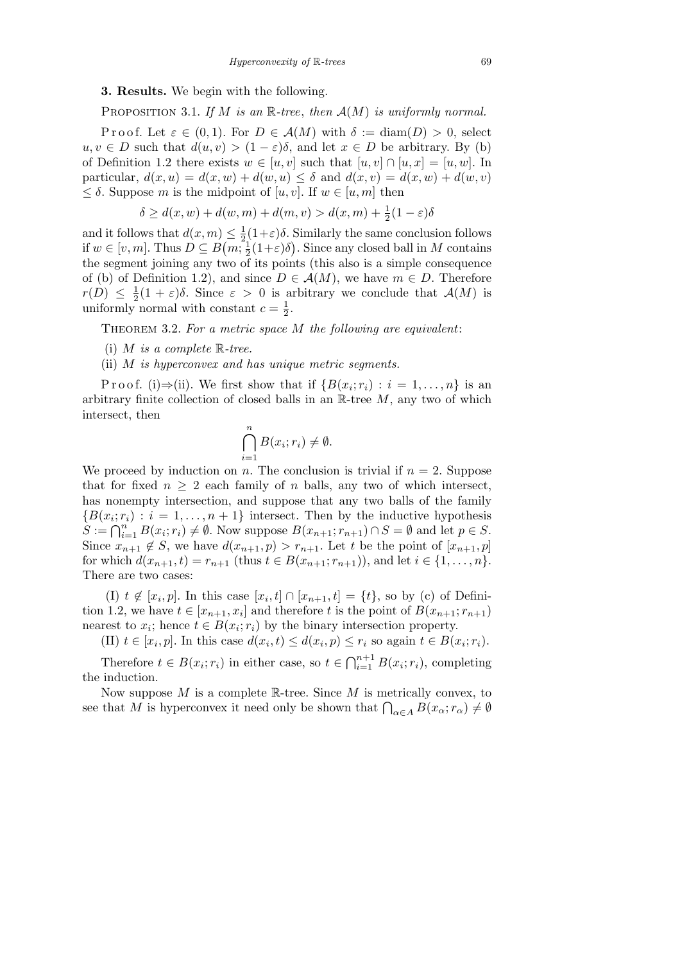## **3. Results.** We begin with the following.

Proposition 3.1. *If M is an* R*-tree*, *then A*(*M*) *is uniformly normal.*

Proof. Let  $\varepsilon \in (0,1)$ . For  $D \in \mathcal{A}(M)$  with  $\delta := \text{diam}(D) > 0$ , select  $u, v \in D$  such that  $d(u, v) > (1 - \varepsilon)\delta$ , and let  $x \in D$  be arbitrary. By (b) of Definition 1.2 there exists  $w \in [u, v]$  such that  $[u, v] \cap [u, x] = [u, w]$ . In particular,  $d(x, u) = d(x, w) + d(w, u) \leq \delta$  and  $d(x, v) = d(x, w) + d(w, v)$ *≤ δ*. Suppose *m* is the midpoint of [*u, v*]. If *w ∈* [*u, m*] then

$$
\delta \ge d(x, w) + d(w, m) + d(m, v) > d(x, m) + \frac{1}{2}(1 - \varepsilon)\delta
$$

and it follows that  $d(x, m) \leq \frac{1}{2}$  $\leq \frac{1}{2}(1+\varepsilon)\delta$ . Similarly the same conclusion follows if  $w \in [v, m]$ . Thus  $D \subseteq B(m, \frac{1}{2})$  $\frac{1}{2}(1+\varepsilon)\delta$ . Since any closed ball in *M* contains the segment joining any two of its points (this also is a simple consequence of (b) of Definition 1.2), and since  $D \in \mathcal{A}(M)$ , we have  $m \in D$ . Therefore  $r(D) \leq \frac{1}{2}$  $\frac{1}{2}(1+\varepsilon)\delta$ . Since  $\varepsilon > 0$  is arbitrary we conclude that  $\mathcal{A}(M)$  is uniformly normal with constant  $c = \frac{1}{2}$  $\frac{1}{2}$ .

Theorem 3.2. *For a metric space M the following are equivalent*:

- (i) *M is a complete* R*-tree.*
- (ii) *M is hyperconvex and has unique metric segments.*

Proof. (i) $\Rightarrow$ (ii). We first show that if  ${B(x_i; r_i) : i = 1, ..., n}$  is an arbitrary finite collection of closed balls in an R-tree *M*, any two of which intersect, then

$$
\bigcap_{i=1}^{n} B(x_i; r_i) \neq \emptyset.
$$

We proceed by induction on *n*. The conclusion is trivial if  $n = 2$ . Suppose that for fixed  $n \geq 2$  each family of *n* balls, any two of which intersect, has nonempty intersection, and suppose that any two balls of the family  ${B(x_i; r_i) : i = 1, \ldots, n+1}$  intersect. Then by the inductive hypothesis  $S := \bigcap_{i=1}^{n} B(x_i; r_i) \neq \emptyset$ . Now suppose  $B(x_{n+1}; r_{n+1}) \cap S = \emptyset$  and let  $p \in S$ . Since  $x_{n+1} \notin S$ , we have  $d(x_{n+1}, p) > r_{n+1}$ . Let *t* be the point of  $[x_{n+1}, p]$ for which  $d(x_{n+1}, t) = r_{n+1}$  (thus  $t \in B(x_{n+1}; r_{n+1})$ ), and let  $i \in \{1, ..., n\}$ . There are two cases:

(I)  $t \notin [x_i, p]$ . In this case  $[x_i, t] \cap [x_{n+1}, t] = \{t\}$ , so by (c) of Definition 1.2, we have  $t \in [x_{n+1}, x_i]$  and therefore  $t$  is the point of  $B(x_{n+1}; r_{n+1})$ nearest to  $x_i$ ; hence  $t \in B(x_i; r_i)$  by the binary intersection property.

(II)  $t \in [x_i, p]$ . In this case  $d(x_i, t) \leq d(x_i, p) \leq r_i$  so again  $t \in B(x_i; r_i)$ .

Therefore  $t \in B(x_i; r_i)$  in either case, so  $t \in \bigcap_{i=1}^{n+1}$  $\sum_{i=1}^{n+1} B(x_i; r_i)$ , completing the induction.

Now suppose *M* is a complete R-tree. Since *M* is metrically convex, to See that *M* is hyperconvex it need only be shown that  $\bigcap_{\alpha \in A} B(x_\alpha; r_\alpha) \neq \emptyset$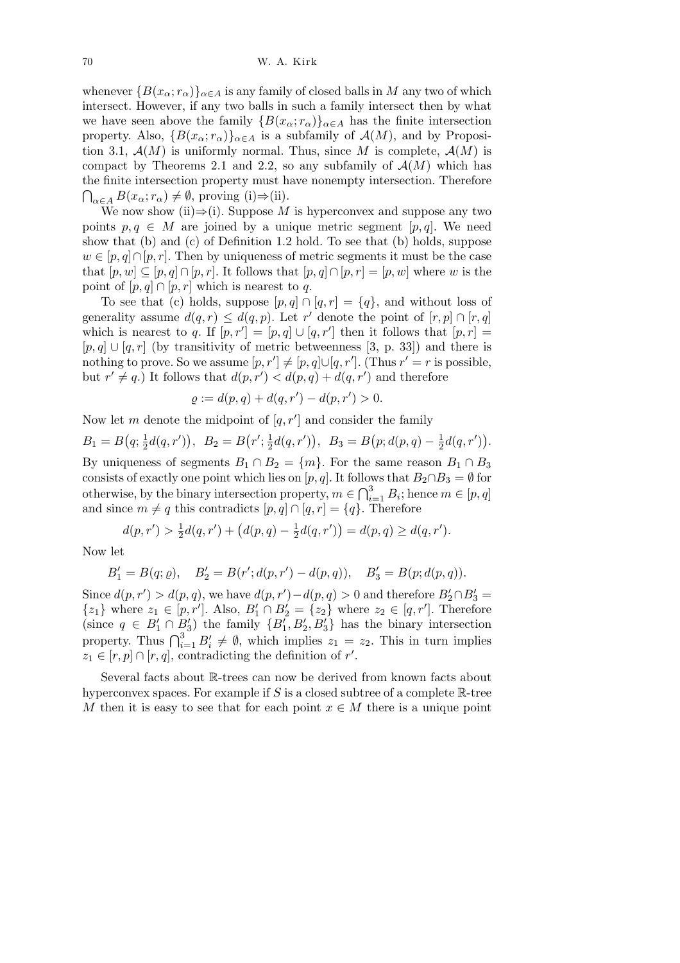whenever  ${B(x_\alpha; r_\alpha)}_{\alpha \in A}$  is any family of closed balls in *M* any two of which intersect. However, if any two balls in such a family intersect then by what we have seen above the family  ${B(x_\alpha; r_\alpha)}_{\alpha \in A}$  has the finite intersection property. Also,  ${B(x_\alpha; r_\alpha)}_{\alpha \in A}$  is a subfamily of  $\mathcal{A}(M)$ , and by Proposition 3.1,  $\mathcal{A}(M)$  is uniformly normal. Thus, since M is complete,  $\mathcal{A}(M)$  is compact by Theorems 2.1 and 2.2, so any subfamily of  $\mathcal{A}(M)$  which has the finite intersection property must have nonempty intersection. Therefore  $\bigcap_{\alpha \in A} B(x_\alpha; r_\alpha) \neq \emptyset$ , proving (i) $\Rightarrow$ (ii).

We now show (ii) $\Rightarrow$ (i). Suppose *M* is hyperconvex and suppose any two points  $p, q \in M$  are joined by a unique metric segment [p, q]. We need show that (b) and (c) of Definition 1.2 hold. To see that (b) holds, suppose  $w \in [p, q] \cap [p, r]$ . Then by uniqueness of metric segments it must be the case that  $[p, w] \subseteq [p, q] \cap [p, r]$ . It follows that  $[p, q] \cap [p, r] = [p, w]$  where *w* is the point of  $[p, q] \cap [p, r]$  which is nearest to q.

To see that (c) holds, suppose  $[p, q] \cap [q, r] = \{q\}$ , and without loss of generality assume  $d(q, r) \leq d(q, p)$ . Let r' denote the point of  $[r, p] \cap [r, q]$ which is nearest to *q*. If  $[p, r'] = [p, q] \cup [q, r']$  then it follows that  $[p, r] =$  $[p,q] \cup [q,r]$  (by transitivity of metric betweenness [3, p. 33]) and there is nothing to prove. So we assume  $[p, r'] \neq [p, q] \cup [q, r']$ . (Thus  $r' = r$  is possible, but  $r' \neq q$ .) It follows that  $d(p, r') < d(p, q) + d(q, r')$  and therefore

$$
\varrho := d(p, q) + d(q, r') - d(p, r') > 0.
$$

Now let *m* denote the midpoint of  $[q, r']$  and consider the family

$$
B_1 = B(q; \frac{1}{2}d(q, r')), \ B_2 = B(r'; \frac{1}{2}d(q, r')), \ B_3 = B(p; d(p, q) - \frac{1}{2}d(q, r')).
$$
  
By uniqueness of segments  $B_1 \cap B_2 = \{m\}$ . For the same reason  $B_1 \cap B_3$ 

consists of exactly one point which lies on  $[p, q]$ . It follows that  $B_2 \cap B_3 = \emptyset$  for the point of  $D_3$ <sup>3</sup>  $\longrightarrow$  *B* is happened for  $q$ <sup>1</sup> otherwise, by the binary intersection property,  $m \in \bigcap_{i=1}^{3} B_i$ ; hence  $m \in [p, q]$ and since  $m \neq q$  this contradicts  $[p, q] \cap [q, r] = \{q\}$ . Therefore  $\mathbf{r}$ 

$$
d(p,r') > \frac{1}{2}d(q,r') + (d(p,q) - \frac{1}{2}d(q,r')) = d(p,q) \geq d(q,r').
$$

Now let

$$
B'_1=B(q;\varrho),\quad B'_2=B(r';d(p,r')-d(p,q)),\quad B'_3=B(p;d(p,q)).
$$

Since  $d(p, r') > d(p, q)$ , we have  $d(p, r') - d(p, q) > 0$  and therefore  $B_2' \cap B_3' =$ *{z*<sub>1</sub>} where *z*<sub>1</sub> ∈ [*p, r<sup><i>i*</sup></sup>]. Also, *B*<sup>*i*</sup><sub>1</sub> ∩ *B*<sup>*i*</sup><sub>2</sub> = {*z*<sub>2</sub>} where *z*<sub>2</sub> ∈ [*q, r<sup><i>'*</sup>]. Therefore (since  $q \in B'_1 \cap B'_3$ ) the family  $\{B'_1, B'_2, B'_3\}$  has the binary intersection property. Thus  $\bigcap_{i=1}^3 B'_i \neq \emptyset$ , which implies  $z_1 = z_2$ . This in turn implies  $z_1 \in [r, p] \cap [r, q]$ , contradicting the definition of *r'*.

Several facts about R-trees can now be derived from known facts about hyperconvex spaces. For example if *S* is a closed subtree of a complete R-tree *M* then it is easy to see that for each point  $x \in M$  there is a unique point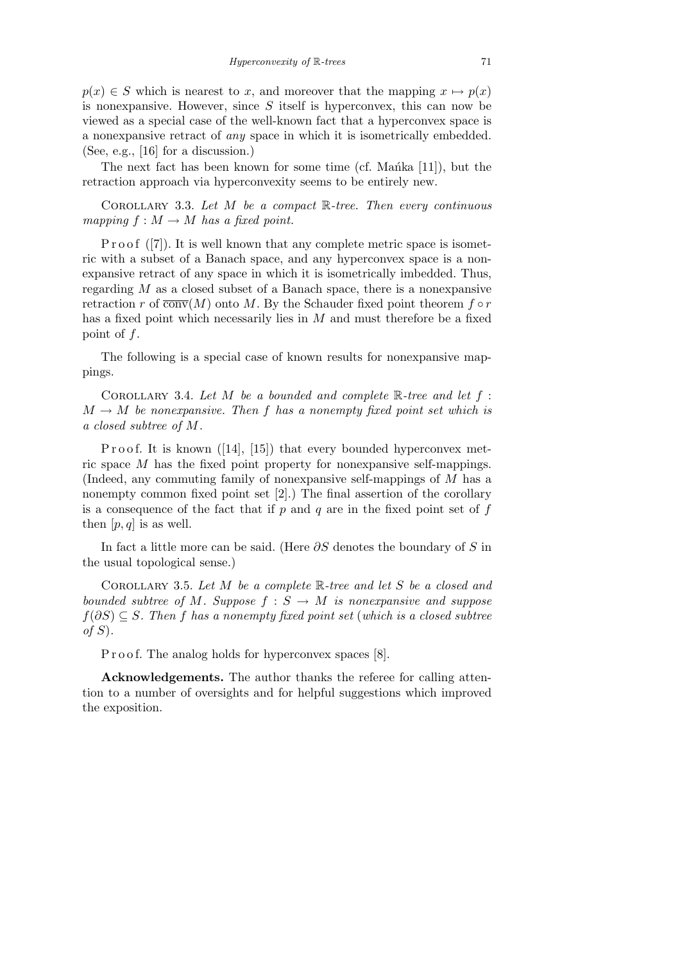$p(x) \in S$  which is nearest to *x*, and moreover that the mapping  $x \mapsto p(x)$ is nonexpansive. However, since *S* itself is hyperconvex, this can now be viewed as a special case of the well-known fact that a hyperconvex space is a nonexpansive retract of *any* space in which it is isometrically embedded. (See, e.g., [16] for a discussion.)

The next fact has been known for some time (cf. Manka  $[11]$ ), but the retraction approach via hyperconvexity seems to be entirely new.

Corollary 3.3. *Let M be a compact* R*-tree. Then every continuous mapping*  $f : M \to M$  *has a fixed point.* 

P r o o f  $([7])$ . It is well known that any complete metric space is isometric with a subset of a Banach space, and any hyperconvex space is a nonexpansive retract of any space in which it is isometrically imbedded. Thus, regarding *M* as a closed subset of a Banach space, there is a nonexpansive retraction *r* of  $\overline{\text{conv}}(M)$  onto *M*. By the Schauder fixed point theorem  $f \circ r$ has a fixed point which necessarily lies in *M* and must therefore be a fixed point of *f*.

The following is a special case of known results for nonexpansive mappings.

COROLLARY 3.4. Let  $M$  be a bounded and complete  $\mathbb{R}$ -tree and let  $f$ :  $M \rightarrow M$  *be nonexpansive. Then f has a nonempty fixed point set which is a closed subtree of M.*

Proof. It is known  $(14, 15)$  that every bounded hyperconvex metric space *M* has the fixed point property for nonexpansive self-mappings. (Indeed, any commuting family of nonexpansive self-mappings of *M* has a nonempty common fixed point set [2].) The final assertion of the corollary is a consequence of the fact that if *p* and *q* are in the fixed point set of *f* then  $[p, q]$  is as well.

In fact a little more can be said. (Here *∂S* denotes the boundary of *S* in the usual topological sense.)

Corollary 3.5. *Let M be a complete* R*-tree and let S be a closed and bounded subtree of M. Suppose*  $f : S \rightarrow M$  *is nonexpansive and suppose f*(*∂S*) *⊆ S. Then f has a nonempty fixed point set* (*which is a closed subtree of S*)*.*

P r o o f. The analog holds for hyperconvex spaces [8].

**Acknowledgements.** The author thanks the referee for calling attention to a number of oversights and for helpful suggestions which improved the exposition.